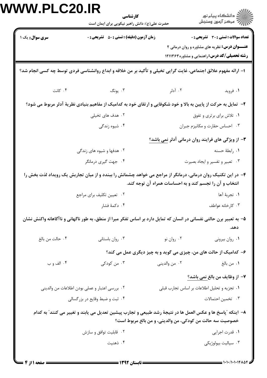|                                                                                                                                                                         | كارشناسي<br>حضرت علی(ع): دانش راهبر نیکویی برای ایمان است                                                         |                                            | ≦ دانشڪاه پيام نور<br>ر∕ = مرڪز آزمون وسنڊش                                                                                                                   |  |  |  |
|-------------------------------------------------------------------------------------------------------------------------------------------------------------------------|-------------------------------------------------------------------------------------------------------------------|--------------------------------------------|---------------------------------------------------------------------------------------------------------------------------------------------------------------|--|--|--|
| <b>سری سوال :</b> یک ۱                                                                                                                                                  | زمان آزمون (دقیقه) : تستی : ۵۰٪ تشریحی : ۰                                                                        |                                            | <b>تعداد سوالات : تستی : 30 ٪ تشریحی : 0</b><br><b>عنـــوان درس:</b> نظریه های مشاوره و روان درمانی ۲<br><b>رشته تحصیلی/کد درس: راهنمایی و مشاوره ۱۲۱۱۳۶۳</b> |  |  |  |
| ۱– ارائه مفهوم علائق اجتماعی، غایت گرایی تخیلی و تأکید بر من خلاقه و ابداع روانشناسی فردی توسط چه کسی انجام شد؟                                                         |                                                                                                                   |                                            |                                                                                                                                                               |  |  |  |
| ۰۴ کانت                                                                                                                                                                 | ۰۳ يونگ                                                                                                           | ۰۲ آدلر                                    | ۰۱ فروید                                                                                                                                                      |  |  |  |
|                                                                                                                                                                         | ۲- تمایل به حرکت از پایین به بالا و خود شکوفایی و ارتقای خود به کدامیک از مفاهیم بنیادی نظریهٔ آدلر مربوط می شود؟ |                                            |                                                                                                                                                               |  |  |  |
|                                                                                                                                                                         | ۰۱ تلاش برای برتری و تفوق<br>۰۲ هدف های تخیلی                                                                     |                                            |                                                                                                                                                               |  |  |  |
|                                                                                                                                                                         | ۰۴ شیوه زندگی                                                                                                     | ٠٣ احساس حقارت و مكانيزم جبران             |                                                                                                                                                               |  |  |  |
| ۳- از ویژگی های فرایند روان درمانی آدلر نمی باشد؟                                                                                                                       |                                                                                                                   |                                            |                                                                                                                                                               |  |  |  |
|                                                                                                                                                                         | ۰۲ هدفها و شیوه های زندگی                                                                                         |                                            | ٠١. رابطة حسنه                                                                                                                                                |  |  |  |
|                                                                                                                                                                         | ۰۴ جهت گیری درمانگر                                                                                               |                                            | ۰۳ تعبیر و تفسیر و ایجاد بصیرت                                                                                                                                |  |  |  |
| ۴– در این تکنیک روان درمانی، درمانگر از مراجع می خواهد چشمانش را ببندد و از میان تجاربش یک رویداد لذت بخش را<br>انتخاب و آن را تجسم کند و به احساسات همراه آن توجه کند. |                                                                                                                   |                                            |                                                                                                                                                               |  |  |  |
|                                                                                                                                                                         | ۰۲ تعیین تکلیف برای مراجع                                                                                         |                                            | ١. تجربهٔ آها                                                                                                                                                 |  |  |  |
|                                                                                                                                                                         | ۰۴ دکمهٔ فشار                                                                                                     |                                            | ۰۳ کارخانه عواطف                                                                                                                                              |  |  |  |
| ۵– به تعبیر برن حالتی نفسانی در انسان که تمایل دارد بر اساس تفکر مبرا از منطق، به طور ناگهانی و ناآگاهانه واکنش نشان<br>دهد.                                            |                                                                                                                   |                                            |                                                                                                                                                               |  |  |  |
| ۰۴ حالت من بالغ                                                                                                                                                         | ۰۳ روان باستانی                                                                                                   | ۰۲ روان نو                                 | ٠١ روان بيرونى                                                                                                                                                |  |  |  |
|                                                                                                                                                                         | ۶- کدامیک از حالت های من، چیزی می گوید و به چیز دیگری عمل می کند؟                                                 |                                            |                                                                                                                                                               |  |  |  |
| ۰۴ الف و ب                                                                                                                                                              | ۰۳ من کودکی                                                                                                       | ۰۲ من والديني                              | ٠١. من بالغ                                                                                                                                                   |  |  |  |
|                                                                                                                                                                         |                                                                                                                   |                                            | ٧- از وظايف من بالغ نمي باشد؟                                                                                                                                 |  |  |  |
| ۰۲ بررسی اعتبار و عملی بودن اطلاعات من والدینی                                                                                                                          |                                                                                                                   | ٠١ تجزيه وتحليل اطلاعات بر اساس تجارب قبلى |                                                                                                                                                               |  |  |  |
| ۰۴ ثبت و ضبط وقایع در بزرگسالی                                                                                                                                          |                                                                                                                   |                                            | ۰۳ تخمین احتمالات                                                                                                                                             |  |  |  |
| ٨– اينكه "پاسخ ها و عكس العمل ها در نتيجهٔ رشد طبيعي و تجارب پيشين تعديل مي يابند و تغيير مي كنند" به كدام<br>خصوصيت سه حالت من كودكي، من والديني، و من بالغ مربوط است؟ |                                                                                                                   |                                            |                                                                                                                                                               |  |  |  |
|                                                                                                                                                                         | ۰۲ قابلیت توافق و سازش                                                                                            |                                            | ٠١ قدرت اجرايي                                                                                                                                                |  |  |  |
|                                                                                                                                                                         | ۰۴ ذهنيت                                                                                                          |                                            | ۰۳ سیالیت بیولوژیکی                                                                                                                                           |  |  |  |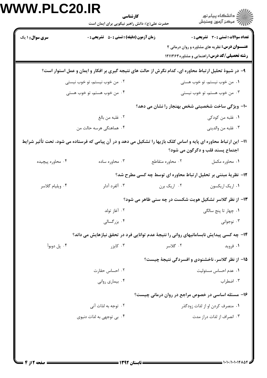| VV VV.PLUZU.IK         | كارشناسي<br>حضرت علی(ع): دانش راهبر نیکویی برای ایمان است                                                        |                  | ڪ دانشڪاه پيام نور<br>∕7 مرڪز آزمون وسنڊش                                                                                                                    |
|------------------------|------------------------------------------------------------------------------------------------------------------|------------------|--------------------------------------------------------------------------------------------------------------------------------------------------------------|
| <b>سری سوال : ۱ یک</b> | <b>زمان آزمون (دقیقه) : تستی : 50 ٪ تشریحی : 0</b>                                                               |                  | <b>تعداد سوالات : تستی : 30 ٪ تشریحی : 0</b><br><b>عنـــوان درس:</b> نظریه های مشاوره و روان درمانی ۲<br><b>رشته تحصیلی/کد درس: راهنمایی و مشاوره۱۲۱۱۳۶۳</b> |
|                        | ۹- در شیوهٔ تحلیل ارتباط محاوره ای، کدام نگرش از حالت های نتیجه گیری بر افکار و ایمان و عمل استوار است؟          |                  |                                                                                                                                                              |
|                        | ۰۲ من خوب نیستم، تو خوب نیستی                                                                                    |                  | ۰۱ من خوب نیستم، تو خوب هستی                                                                                                                                 |
|                        | ۰۴ من خوب هستم، تو خوب هستی                                                                                      |                  | ۰۳ من خوب هستم، تو خوب نیستی                                                                                                                                 |
|                        |                                                                                                                  |                  | ۱۰- ویژگی ساخت شخصیتی شخص بهنجار را نشان می دهد؟                                                                                                             |
|                        | ٠٢ غلبه من بالغ                                                                                                  |                  | ١. غلبه من كودكي                                                                                                                                             |
|                        | ۰۴ هماهنگی هرسه حالت من                                                                                          |                  | ۰۳ غلبه من والديني                                                                                                                                           |
|                        | 11– این ارتباط محاوره ای پایه و اساس کلک بازیها را تشکیل می دهد و در آن پیامی که فرستاده می شود، تحت تأثیر شرایط |                  | اجتماع پسند قلب و دگرگون می شود؟                                                                                                                             |
| ۰۴ محاوره پیچیده       | ۰۳ محاوره ساده                                                                                                   | ۰۲ محاوره متقاطع | ۰۱ محاوره مکمل                                                                                                                                               |
|                        |                                                                                                                  |                  | ۱۲- نظریهٔ مبتنی بر تحلیل ارتباط محاوره ای توسط چه کسی مطرح شد؟                                                                                              |
| ۰۴ ویلیام گلاسر        | ۰۳ آلفرد آدلر                                                                                                    | ۰۲ اریک برن      | ٠١ اريک اريکسون                                                                                                                                              |
|                        |                                                                                                                  |                  | ۱۳- از نظر گلاسر تشکیل هویت شکست در چه سنی ظاهر می شود؟                                                                                                      |
|                        | ۰۲ آغاز تولد                                                                                                     |                  | ۰۱ چهار تا پنج سالگی                                                                                                                                         |
|                        | ۰۴ بزرگسالی                                                                                                      |                  | ۰۳ نوجوانی                                                                                                                                                   |
|                        | ۱۴- چه کسی پیدایش نابسامانیهای روانی را نتیجهٔ عدم توانایی فرد در تحقق نیازهایش می داند؟                         |                  |                                                                                                                                                              |
| ۰۴ پل دوبوآ            | ۰۳ کایز,                                                                                                         | ۲. گلاسر         | ۰۱ فروید                                                                                                                                                     |
|                        |                                                                                                                  |                  | ۱۵– از نظر گلاسر، ناخشنودی و افسردگی نتیجهٔ چیست؟                                                                                                            |
|                        | ٠٢ احساس حقارت                                                                                                   |                  | ٠١. عدم احساس مسئوليت                                                                                                                                        |
|                        | ۰۴ بیماری روانی                                                                                                  |                  | ۰۳ اضطراب                                                                                                                                                    |
|                        |                                                                                                                  |                  | ۱۶- مسئله اساسی در خصوص مراجع در روان درمانی چیست؟                                                                                                           |
|                        | ۰۲ توجه به لذات آنی                                                                                              |                  | ۰۱ منصرف کردن او از لذات زودگذر                                                                                                                              |
|                        | ۰۴ بی توجهی به لذات دنیوی                                                                                        |                  | ۰۳ انصراف از لذات دراز مدت                                                                                                                                   |
|                        |                                                                                                                  |                  |                                                                                                                                                              |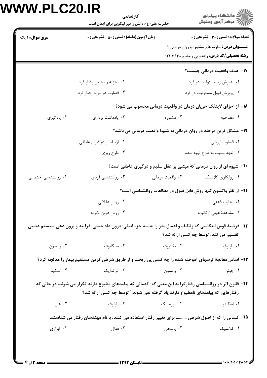| <b>WW.PLC20.IR</b>     | كارشناسي<br>حضرت علی(ع): دانش راهبر نیکویی برای ایمان است                                                                                                                                       |                                                                    | ر<br>دانشڪاه پيام نور)<br>اڳ مرڪز آزمون وسنڊش                          |
|------------------------|-------------------------------------------------------------------------------------------------------------------------------------------------------------------------------------------------|--------------------------------------------------------------------|------------------------------------------------------------------------|
| <b>سری سوال : ۱ یک</b> | <b>زمان آزمون (دقیقه) : تستی : 50 ٪ تشریحی : 0</b>                                                                                                                                              |                                                                    | <b>تعداد سوالات : تستی : 30 ٪ تشریحی : 0</b>                           |
|                        |                                                                                                                                                                                                 |                                                                    | <b>عنـــوان درس:</b> نظریه های مشاوره و روان درمانی ۲                  |
|                        |                                                                                                                                                                                                 |                                                                    | <b>رشته تحصیلی/کد درس: راهنمایی و مشاوره ۱۲۱۱۳۶۳</b>                   |
|                        |                                                                                                                                                                                                 |                                                                    | 17- هدف واقعیت درمانی چیست؟                                            |
|                        | ۰۲ تجزیه و تحلیل رفتار فرد                                                                                                                                                                      |                                                                    | ۰۱ پذیرش رد مسئولیت در فرد                                             |
|                        | ۰۴ قضاوت در مورد رفتار فرد                                                                                                                                                                      |                                                                    | ۰۳ پرورش قبول مسئوليت در فرد                                           |
|                        |                                                                                                                                                                                                 |                                                                    | ۱۸– از اجزای لاینفک جریان درمان در واقعیت درمانی محسوب می شود؟         |
| ۰۴ يادگيري             | ۰۳ يادداشت برداري                                                                                                                                                                               | ۰۲ مشاوره                                                          | ٠١. مصاحبه                                                             |
|                        |                                                                                                                                                                                                 | ۱۹- مشکل ترین مرحله در روان درمانی به شیوهٔ واقعیت درمانی می باشد؟ |                                                                        |
|                        | ۰۲ ارتباط و درگیری عاطفی                                                                                                                                                                        |                                                                    | ٠١ قضاوت ارزشي                                                         |
|                        | ۰۴ طرح ریزی                                                                                                                                                                                     |                                                                    | ۰۳ تعهد نسبت به طرح تهیه شده                                           |
|                        | <b>۲۰</b> - شیوه ای از روان درمانی که مبتنی بر عقل سلیم و درگیری عاطفی است؟                                                                                                                     |                                                                    |                                                                        |
| ۰۴ روانشناسی اجتماعی   | ۰۳ روانشناسی فردی                                                                                                                                                                               | ۰۲ واقعیت درمانی                                                   | ٠١. روانكاوي كلاسيك                                                    |
|                        |                                                                                                                                                                                                 |                                                                    | <b>۲۱</b> - از نظر واتسون تنها روش قابل قبول در مطالعات روانشناسی است؟ |
|                        | ۰۲ روش عقلانی                                                                                                                                                                                   |                                                                    | ۰۱ تجارب ذهنی                                                          |
|                        | ۰۴ روش درون نگرانه                                                                                                                                                                              |                                                                    | ۰۳ مشاهدهٔ عینی ارگانیزم                                               |
|                        | ۲۲- فرضیهٔ قوس انعکاسی که وظایف و اعمال مغز را به سه جزء اصلی: درون داد حسی، فرایند و برون دهی سیستم عصبی                                                                                       |                                                                    |                                                                        |
|                        |                                                                                                                                                                                                 | تقسیم می کند، توسط چه کسی ارائه شد؟                                |                                                                        |
| ۰۴ واتسون              | ۰۳ سیکانوف                                                                                                                                                                                      | ۰۲ بختروف                                                          | ۰۱ پاولوف                                                              |
|                        | ۲۳- اساس معالجهٔ ترسهای آموخته شده را چه کسی پی ریخت و از طریق شرطی کردن مستقیم بیمار را معالجه کرد؟                                                                                            |                                                                    |                                                                        |
| ۰۴ اسکینر              | ۰۳ ثورندایک                                                                                                                                                                                     | ۰۲ واتسون                                                          | ۰۱ جونز                                                                |
|                        | ۲۴- قانون اثر در روانشناسی رفتارگرا به این معنی که: آاعمالی که پیامدهای مطبوع دارند تکرار می شوند، در حالی که<br>رفتارهایی که پیامدهای نامطبوع دارند یاد گرفته نمی شوند." توسط چه کسی ارائه شد؟ |                                                                    |                                                                        |
| ۰۴ هال                 | ۰۳ پاولوف                                                                                                                                                                                       | ۰۲ ثورندایک                                                        | ۰۱ اسکینر                                                              |
|                        | ۲۵– کسانی را که از اصول شرطی  برای تغییر رفتار استفاده می کنند، با نام مهندسان رفتار می شناسند.                                                                                                 |                                                                    |                                                                        |
| ۰۴ ابزاری              | ۰۳ فعال                                                                                                                                                                                         | ۰۲ پاسخی                                                           | ۰۱ کلاسیک                                                              |